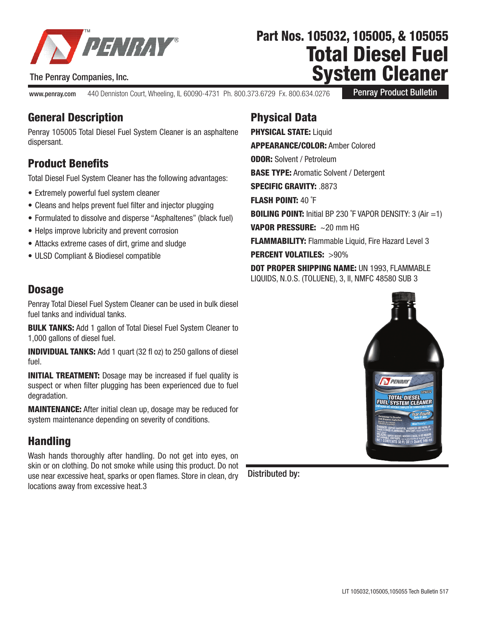

#### The Penray Companies, Inc.

www.penray.com 440 Denniston Court, Wheeling, IL 60090-4731 Ph. 800.373.6729 Fx. 800.634.0276

Penray Product Bulletin

Total Diesel Fuel

Part Nos. 105032, 105005, & 105055

System Cleaner

# General Description

Penray 105005 Total Diesel Fuel System Cleaner is an asphaltene dispersant.

# Product Benefits

Total Diesel Fuel System Cleaner has the following advantages:

- Extremely powerful fuel system cleaner
- Cleans and helps prevent fuel filter and injector plugging
- Formulated to dissolve and disperse "Asphaltenes" (black fuel)
- Helps improve lubricity and prevent corrosion
- Attacks extreme cases of dirt, grime and sludge
- ULSD Compliant & Biodiesel compatible

### **Dosage**

Penray Total Diesel Fuel System Cleaner can be used in bulk diesel fuel tanks and individual tanks.

**BULK TANKS:** Add 1 gallon of Total Diesel Fuel System Cleaner to 1,000 gallons of diesel fuel.

INDIVIDUAL TANKS: Add 1 quart (32 fl oz) to 250 gallons of diesel fuel.

**INITIAL TREATMENT:** Dosage may be increased if fuel quality is suspect or when filter plugging has been experienced due to fuel degradation.

MAINTENANCE: After initial clean up, dosage may be reduced for system maintenance depending on severity of conditions.

## **Handling**

Wash hands thoroughly after handling. Do not get into eyes, on skin or on clothing. Do not smoke while using this product. Do not use near excessive heat, sparks or open flames. Store in clean, dry locations away from excessive heat.3

# Physical Data

**PHYSICAL STATE: Liquid** APPEARANCE/COLOR: Amber Colored **ODOR: Solvent / Petroleum BASE TYPE: Aromatic Solvent / Detergent** SPECIFIC GRAVITY: 8873 FLASH POINT: 40 ˚F **BOILING POINT:** Initial BP 230  $\degree$ F VAPOR DENSITY: 3 (Air =1) VAPOR PRESSURE: ~ 20 mm HG **FLAMMABILITY:** Flammable Liquid, Fire Hazard Level 3 PERCENT VOLATILES: >90%

DOT PROPER SHIPPING NAME: UN 1993, FLAMMABLE LIQUIDS, N.O.S. (TOLUENE), 3, II, NMFC 48580 SUB 3



Distributed by: